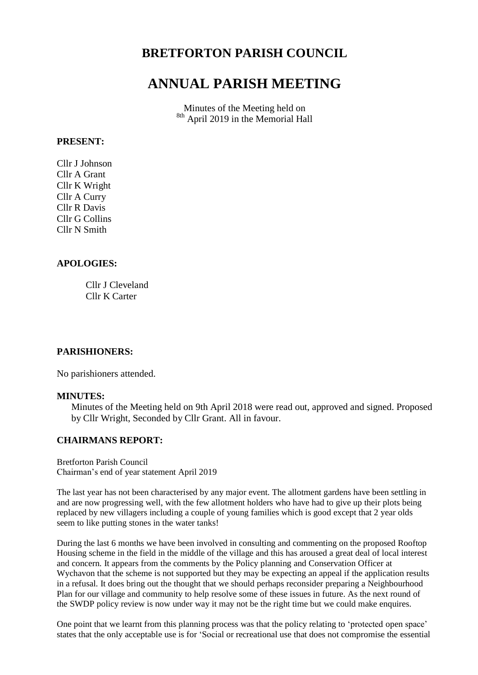## **BRETFORTON PARISH COUNCIL**

# **ANNUAL PARISH MEETING**

Minutes of the Meeting held on <sup>8th</sup> April 2019 in the Memorial Hall

#### **PRESENT:**

Cllr J Johnson Cllr A Grant Cllr K Wright Cllr A Curry Cllr R Davis Cllr G Collins Cllr N Smith

#### **APOLOGIES:**

Cllr J Cleveland Cllr K Carter

#### **PARISHIONERS:**

No parishioners attended.

#### **MINUTES:**

Minutes of the Meeting held on 9th April 2018 were read out, approved and signed. Proposed by Cllr Wright, Seconded by Cllr Grant. All in favour.

## **CHAIRMANS REPORT:**

Bretforton Parish Council Chairman's end of year statement April 2019

The last year has not been characterised by any major event. The allotment gardens have been settling in and are now progressing well, with the few allotment holders who have had to give up their plots being replaced by new villagers including a couple of young families which is good except that 2 year olds seem to like putting stones in the water tanks!

During the last 6 months we have been involved in consulting and commenting on the proposed Rooftop Housing scheme in the field in the middle of the village and this has aroused a great deal of local interest and concern. It appears from the comments by the Policy planning and Conservation Officer at Wychavon that the scheme is not supported but they may be expecting an appeal if the application results in a refusal. It does bring out the thought that we should perhaps reconsider preparing a Neighbourhood Plan for our village and community to help resolve some of these issues in future. As the next round of the SWDP policy review is now under way it may not be the right time but we could make enquires.

One point that we learnt from this planning process was that the policy relating to 'protected open space' states that the only acceptable use is for 'Social or recreational use that does not compromise the essential